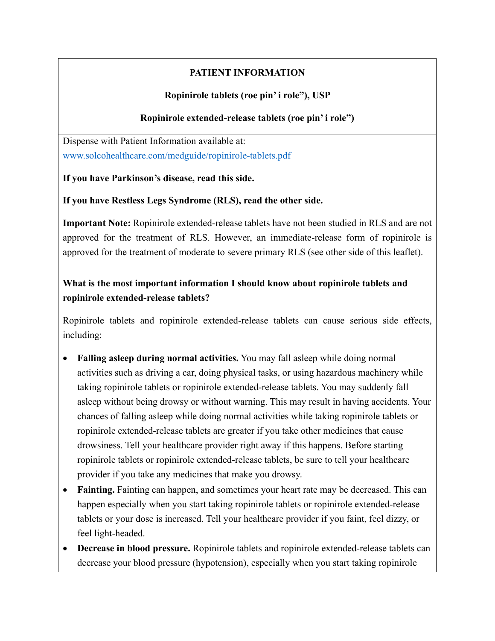# **PATIENT INFORMATION**

### **Ropinirole tablets (roe pin' i role"), USP**

#### **Ropinirole extended-release tablets (roe pin' i role")**

Dispense with Patient Information available at: [www.solcohealthcare.com/medguide/ropinirole-tablets.pdf](http://www.solcohealthcare.com/medguide/ropinirole-tablets.pdf)

**If you have Parkinson's disease, read this side.**

**If you have Restless Legs Syndrome (RLS), read the other side.**

**Important Note:** Ropinirole extended-release tablets have not been studied in RLS and are not approved for the treatment of RLS. However, an immediate-release form of ropinirole is approved for the treatment of moderate to severe primary RLS (see other side of this leaflet).

# **What is the most important information I should know about ropinirole tablets and ropinirole extended-release tablets?**

Ropinirole tablets and ropinirole extended-release tablets can cause serious side effects, including:

- **Falling asleep during normal activities.** You may fall asleep while doing normal activities such as driving a car, doing physical tasks, or using hazardous machinery while taking ropinirole tablets or ropinirole extended-release tablets. You may suddenly fall asleep without being drowsy or without warning. This may result in having accidents. Your chances of falling asleep while doing normal activities while taking ropinirole tablets or ropinirole extended-release tablets are greater if you take other medicines that cause drowsiness. Tell your healthcare provider right away if this happens. Before starting ropinirole tablets or ropinirole extended-release tablets, be sure to tell your healthcare provider if you take any medicines that make you drowsy.
- **Fainting.** Fainting can happen, and sometimes your heart rate may be decreased. This can happen especially when you start taking ropinirole tablets or ropinirole extended-release tablets or your dose is increased. Tell your healthcare provider if you faint, feel dizzy, or feel light-headed.
- **Decrease in blood pressure.** Ropinirole tablets and ropinirole extended-release tablets can decrease your blood pressure (hypotension), especially when you start taking ropinirole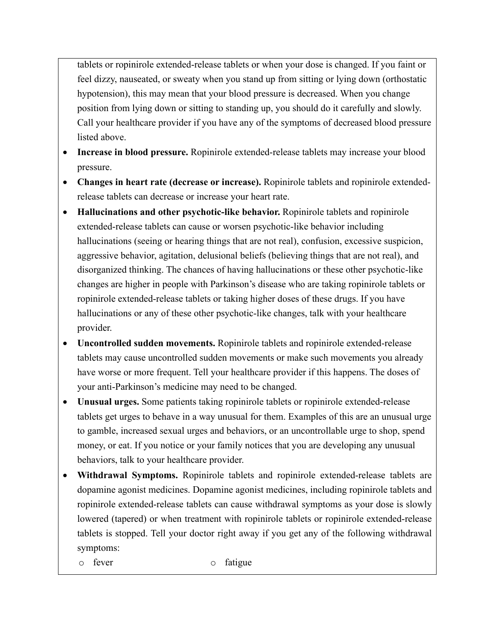tablets or ropinirole extended-release tablets or when your dose is changed. If you faint or feel dizzy, nauseated, or sweaty when you stand up from sitting or lying down (orthostatic hypotension), this may mean that your blood pressure is decreased. When you change position from lying down or sitting to standing up, you should do it carefully and slowly. Call your healthcare provider if you have any of the symptoms of decreased blood pressure listed above.

- **Increase in blood pressure.** Ropinirole extended-release tablets may increase your blood pressure.
- **Changes in heart rate (decrease or increase).** Ropinirole tablets and ropinirole extendedrelease tablets can decrease or increase your heart rate.
- **Hallucinations and other psychotic-like behavior.** Ropinirole tablets and ropinirole extended-release tablets can cause or worsen psychotic-like behavior including hallucinations (seeing or hearing things that are not real), confusion, excessive suspicion, aggressive behavior, agitation, delusional beliefs (believing things that are not real), and disorganized thinking. The chances of having hallucinations or these other psychotic-like changes are higher in people with Parkinson's disease who are taking ropinirole tablets or ropinirole extended-release tablets or taking higher doses of these drugs. If you have hallucinations or any of these other psychotic-like changes, talk with your healthcare provider.
- **Uncontrolled sudden movements.** Ropinirole tablets and ropinirole extended-release tablets may cause uncontrolled sudden movements or make such movements you already have worse or more frequent. Tell your healthcare provider if this happens. The doses of your anti-Parkinson's medicine may need to be changed.
- **Unusual urges.** Some patients taking ropinirole tablets or ropinirole extended-release tablets get urges to behave in a way unusual for them. Examples of this are an unusual urge to gamble, increased sexual urges and behaviors, or an uncontrollable urge to shop, spend money, or eat. If you notice or your family notices that you are developing any unusual behaviors, talk to your healthcare provider.
- **Withdrawal Symptoms.** Ropinirole tablets and ropinirole extended-release tablets are dopamine agonist medicines. Dopamine agonist medicines, including ropinirole tablets and ropinirole extended-release tablets can cause withdrawal symptoms as your dose is slowly lowered (tapered) or when treatment with ropinirole tablets or ropinirole extended-release tablets is stopped. Tell your doctor right away if you get any of the following withdrawal symptoms:
	- o fever o fatigue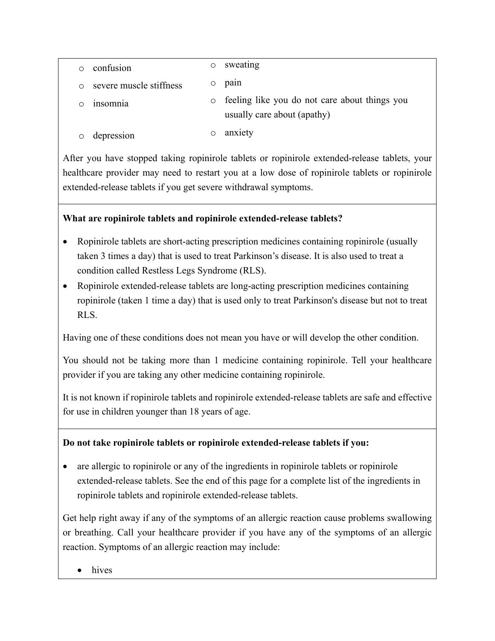| confusion               |         | sweating                                                                     |
|-------------------------|---------|------------------------------------------------------------------------------|
| severe muscle stiffness |         | pain                                                                         |
| 1nsomnia                | $\circ$ | feeling like you do not care about things you<br>usually care about (apathy) |
| depression              |         | anxiety                                                                      |

After you have stopped taking ropinirole tablets or ropinirole extended-release tablets, your healthcare provider may need to restart you at a low dose of ropinirole tablets or ropinirole extended-release tablets if you get severe withdrawal symptoms.

# **What are ropinirole tablets and ropinirole extended-release tablets?**

- Ropinirole tablets are short-acting prescription medicines containing ropinirole (usually taken 3 times a day) that is used to treat Parkinson's disease. It is also used to treat a condition called Restless Legs Syndrome (RLS).
- Ropinirole extended-release tablets are long-acting prescription medicines containing ropinirole (taken 1 time a day) that is used only to treat Parkinson's disease but not to treat RLS.

Having one of these conditions does not mean you have or will develop the other condition.

You should not be taking more than 1 medicine containing ropinirole. Tell your healthcare provider if you are taking any other medicine containing ropinirole.

It is not known if ropinirole tablets and ropinirole extended-release tablets are safe and effective for use in children younger than 18 years of age.

# **Do not take ropinirole tablets or ropinirole extended-release tablets if you:**

• are allergic to ropinirole or any of the ingredients in ropinirole tablets or ropinirole extended-release tablets. See the end of this page for a complete list of the ingredients in ropinirole tablets and ropinirole extended-release tablets.

Get help right away if any of the symptoms of an allergic reaction cause problems swallowing or breathing. Call your healthcare provider if you have any of the symptoms of an allergic reaction. Symptoms of an allergic reaction may include:

• hives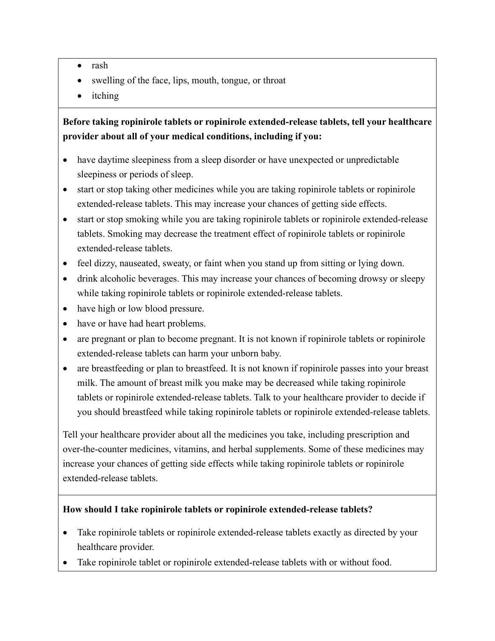- rash
- swelling of the face, lips, mouth, tongue, or throat
- itching

# **Before taking ropinirole tablets or ropinirole extended-release tablets, tell your healthcare provider about all of your medical conditions, including if you:**

- have daytime sleepiness from a sleep disorder or have unexpected or unpredictable sleepiness or periods of sleep.
- start or stop taking other medicines while you are taking ropinirole tablets or ropinirole extended-release tablets. This may increase your chances of getting side effects.
- start or stop smoking while you are taking ropinirole tablets or ropinirole extended-release tablets. Smoking may decrease the treatment effect of ropinirole tablets or ropinirole extended-release tablets.
- feel dizzy, nauseated, sweaty, or faint when you stand up from sitting or lying down.
- drink alcoholic beverages. This may increase your chances of becoming drowsy or sleepy while taking ropinirole tablets or ropinirole extended-release tablets.
- have high or low blood pressure.
- have or have had heart problems.
- are pregnant or plan to become pregnant. It is not known if ropinirole tablets or ropinirole extended-release tablets can harm your unborn baby.
- are breastfeeding or plan to breastfeed. It is not known if ropinirole passes into your breast milk. The amount of breast milk you make may be decreased while taking ropinirole tablets or ropinirole extended-release tablets. Talk to your healthcare provider to decide if you should breastfeed while taking ropinirole tablets or ropinirole extended-release tablets.

Tell your healthcare provider about all the medicines you take, including prescription and over-the-counter medicines, vitamins, and herbal supplements. Some of these medicines may increase your chances of getting side effects while taking ropinirole tablets or ropinirole extended-release tablets.

#### **How should I take ropinirole tablets or ropinirole extended-release tablets?**

- Take ropinirole tablets or ropinirole extended-release tablets exactly as directed by your healthcare provider.
- Take ropinirole tablet or ropinirole extended-release tablets with or without food.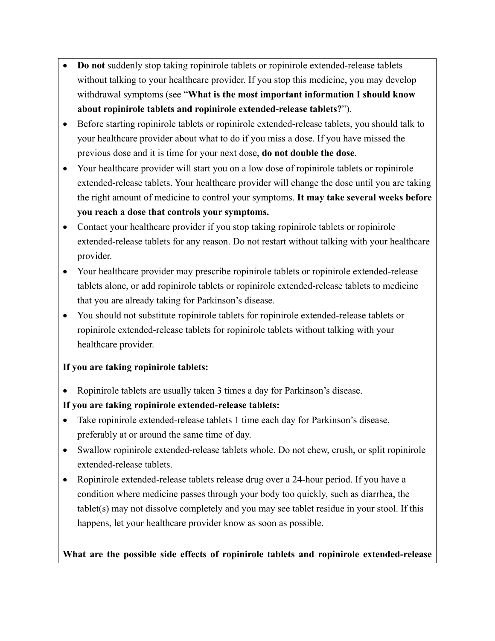- **Do not** suddenly stop taking ropinirole tablets or ropinirole extended-release tablets without talking to your healthcare provider. If you stop this medicine, you may develop withdrawal symptoms (see "**What is the most important information I should know about ropinirole tablets and ropinirole extended-release tablets?**").
- Before starting ropinirole tablets or ropinirole extended-release tablets, you should talk to your healthcare provider about what to do if you miss a dose. If you have missed the previous dose and it is time for your next dose, **do not double the dose**.
- Your healthcare provider will start you on a low dose of ropinirole tablets or ropinirole extended-release tablets. Your healthcare provider will change the dose until you are taking the right amount of medicine to control your symptoms. **It may take several weeks before you reach a dose that controls your symptoms.**
- Contact your healthcare provider if you stop taking ropinirole tablets or ropinirole extended-release tablets for any reason. Do not restart without talking with your healthcare provider.
- Your healthcare provider may prescribe ropinirole tablets or ropinirole extended-release tablets alone, or add ropinirole tablets or ropinirole extended-release tablets to medicine that you are already taking for Parkinson's disease.
- You should not substitute ropinirole tablets for ropinirole extended-release tablets or ropinirole extended-release tablets for ropinirole tablets without talking with your healthcare provider.

#### **If you are taking ropinirole tablets:**

• Ropinirole tablets are usually taken 3 times a day for Parkinson's disease.

# **If you are taking ropinirole extended-release tablets:**

- Take ropinirole extended-release tablets 1 time each day for Parkinson's disease, preferably at or around the same time of day.
- Swallow ropinirole extended-release tablets whole. Do not chew, crush, or split ropinirole extended-release tablets.
- Ropinirole extended-release tablets release drug over a 24-hour period. If you have a condition where medicine passes through your body too quickly, such as diarrhea, the tablet(s) may not dissolve completely and you may see tablet residue in your stool. If this happens, let your healthcare provider know as soon as possible.

#### **What are the possible side effects of ropinirole tablets and ropinirole extended-release**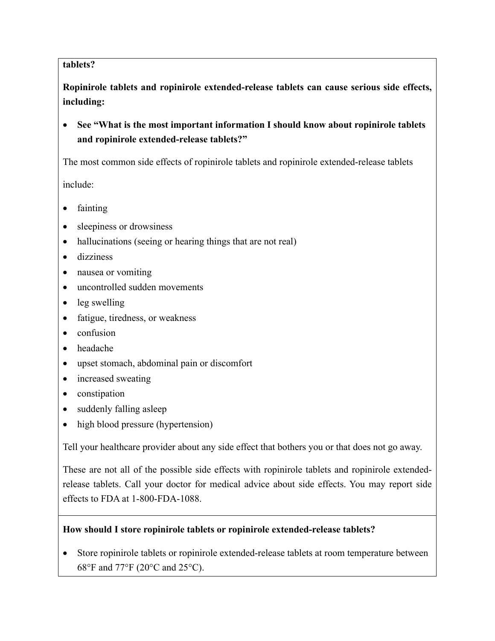#### **tablets?**

**Ropinirole tablets and ropinirole extended-release tablets can cause serious side effects, including:** 

• **See "What is the most important information I should know about ropinirole tablets and ropinirole extended-release tablets?"** 

The most common side effects of ropinirole tablets and ropinirole extended-release tablets

include:

- fainting
- sleepiness or drowsiness
- hallucinations (seeing or hearing things that are not real)
- dizziness
- nausea or vomiting
- uncontrolled sudden movements
- leg swelling
- fatigue, tiredness, or weakness
- confusion
- headache
- upset stomach, abdominal pain or discomfort
- increased sweating
- constipation
- suddenly falling asleep
- high blood pressure (hypertension)

Tell your healthcare provider about any side effect that bothers you or that does not go away.

These are not all of the possible side effects with ropinirole tablets and ropinirole extendedrelease tablets. Call your doctor for medical advice about side effects. You may report side effects to FDA at 1-800-FDA-1088.

#### **How should I store ropinirole tablets or ropinirole extended-release tablets?**

• Store ropinirole tablets or ropinirole extended-release tablets at room temperature between 68°F and 77°F (20°C and 25°C).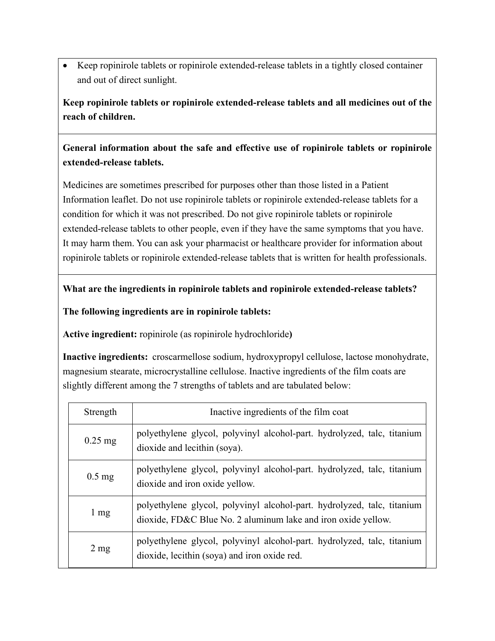• Keep ropinirole tablets or ropinirole extended-release tablets in a tightly closed container and out of direct sunlight.

**Keep ropinirole tablets or ropinirole extended-release tablets and all medicines out of the reach of children.**

**General information about the safe and effective use of ropinirole tablets or ropinirole extended-release tablets.** 

Medicines are sometimes prescribed for purposes other than those listed in a Patient Information leaflet. Do not use ropinirole tablets or ropinirole extended-release tablets for a condition for which it was not prescribed. Do not give ropinirole tablets or ropinirole extended-release tablets to other people, even if they have the same symptoms that you have. It may harm them. You can ask your pharmacist or healthcare provider for information about ropinirole tablets or ropinirole extended-release tablets that is written for health professionals.

#### **What are the ingredients in ropinirole tablets and ropinirole extended-release tablets?**

**The following ingredients are in ropinirole tablets:** 

**Active ingredient:** ropinirole (as ropinirole hydrochloride**)** 

**Inactive ingredients:** croscarmellose sodium, hydroxypropyl cellulose, lactose monohydrate, magnesium stearate, microcrystalline cellulose. Inactive ingredients of the film coats are slightly different among the 7 strengths of tablets and are tabulated below:

| Strength       | Inactive ingredients of the film coat                                                                                                    |
|----------------|------------------------------------------------------------------------------------------------------------------------------------------|
| $0.25$ mg      | polyethylene glycol, polyvinyl alcohol-part. hydrolyzed, talc, titanium<br>dioxide and lecithin (soya).                                  |
| $0.5$ mg       | polyethylene glycol, polyvinyl alcohol-part. hydrolyzed, talc, titanium<br>dioxide and iron oxide yellow.                                |
| $1 \text{ mg}$ | polyethylene glycol, polyvinyl alcohol-part. hydrolyzed, talc, titanium<br>dioxide, FD&C Blue No. 2 aluminum lake and iron oxide yellow. |
| $2 \text{ mg}$ | polyethylene glycol, polyvinyl alcohol-part. hydrolyzed, talc, titanium<br>dioxide, lecithin (soya) and iron oxide red.                  |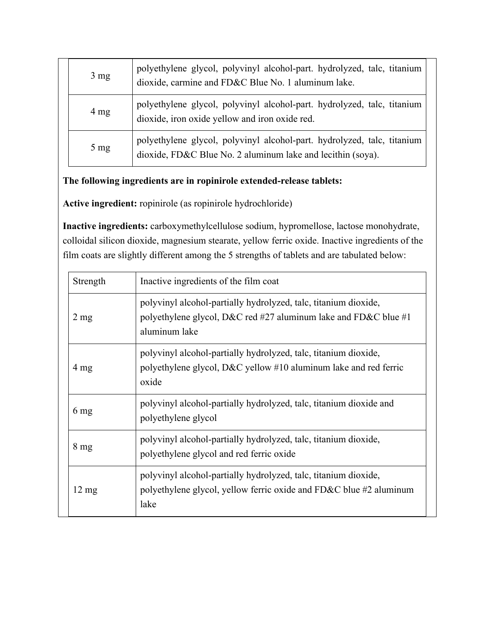| $3 \text{ mg}$ | polyethylene glycol, polyvinyl alcohol-part. hydrolyzed, talc, titanium<br>dioxide, carmine and FD&C Blue No. 1 aluminum lake.         |
|----------------|----------------------------------------------------------------------------------------------------------------------------------------|
| $4 \text{ mg}$ | polyethylene glycol, polyvinyl alcohol-part. hydrolyzed, talc, titanium<br>dioxide, iron oxide yellow and iron oxide red.              |
| $5 \text{ mg}$ | polyethylene glycol, polyvinyl alcohol-part. hydrolyzed, talc, titanium<br>dioxide, FD&C Blue No. 2 aluminum lake and lecithin (soya). |

# **The following ingredients are in ropinirole extended-release tablets:**

**Active ingredient:** ropinirole (as ropinirole hydrochloride)

**Inactive ingredients:** carboxymethylcellulose sodium, hypromellose, lactose monohydrate, colloidal silicon dioxide, magnesium stearate, yellow ferric oxide. Inactive ingredients of the film coats are slightly different among the 5 strengths of tablets and are tabulated below:

| Strength        | Inactive ingredients of the film coat                                                                                                               |
|-----------------|-----------------------------------------------------------------------------------------------------------------------------------------------------|
| $2 \text{ mg}$  | polyvinyl alcohol-partially hydrolyzed, talc, titanium dioxide,<br>polyethylene glycol, D&C red #27 aluminum lake and FD&C blue #1<br>aluminum lake |
| $4 \text{ mg}$  | polyvinyl alcohol-partially hydrolyzed, talc, titanium dioxide,<br>polyethylene glycol, $D\&C$ yellow #10 aluminum lake and red ferric<br>oxide     |
| 6 mg            | polyvinyl alcohol-partially hydrolyzed, talc, titanium dioxide and<br>polyethylene glycol                                                           |
| $8 \text{ mg}$  | polyvinyl alcohol-partially hydrolyzed, talc, titanium dioxide,<br>polyethylene glycol and red ferric oxide                                         |
| $12 \text{ mg}$ | polyvinyl alcohol-partially hydrolyzed, talc, titanium dioxide,<br>polyethylene glycol, yellow ferric oxide and FD&C blue #2 aluminum<br>lake       |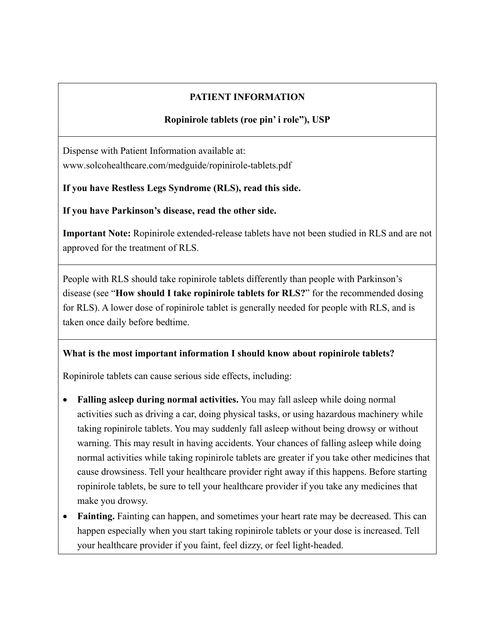# **PATIENT INFORMATION**

# **Ropinirole tablets (roe pin' i role"), USP**

Dispense with Patient Information available at: www.solcohealthcare.com/medguide/ropinirole-tablets.pdf

**If you have Restless Legs Syndrome (RLS), read this side.** 

**If you have Parkinson's disease, read the other side.**

**Important Note:** Ropinirole extended-release tablets have not been studied in RLS and are not approved for the treatment of RLS.

People with RLS should take ropinirole tablets differently than people with Parkinson's disease (see "**How should I take ropinirole tablets for RLS?**" for the recommended dosing for RLS). A lower dose of ropinirole tablet is generally needed for people with RLS, and is taken once daily before bedtime.

# **What is the most important information I should know about ropinirole tablets?**

Ropinirole tablets can cause serious side effects, including:

- **Falling asleep during normal activities.** You may fall asleep while doing normal activities such as driving a car, doing physical tasks, or using hazardous machinery while taking ropinirole tablets. You may suddenly fall asleep without being drowsy or without warning. This may result in having accidents. Your chances of falling asleep while doing normal activities while taking ropinirole tablets are greater if you take other medicines that cause drowsiness. Tell your healthcare provider right away if this happens. Before starting ropinirole tablets, be sure to tell your healthcare provider if you take any medicines that make you drowsy.
- **Fainting.** Fainting can happen, and sometimes your heart rate may be decreased. This can happen especially when you start taking ropinirole tablets or your dose is increased. Tell your healthcare provider if you faint, feel dizzy, or feel light-headed.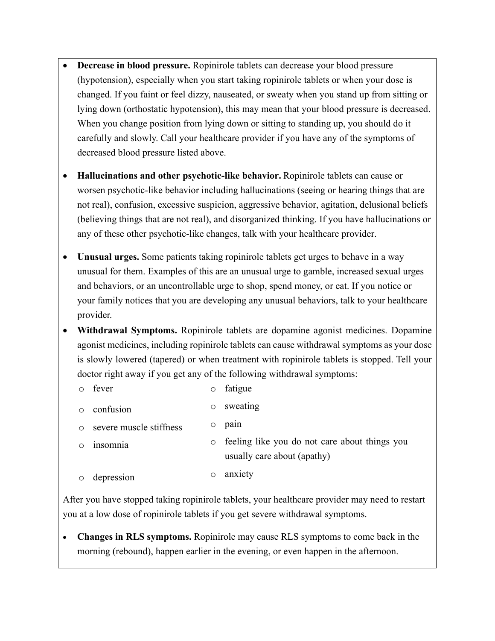- **Decrease in blood pressure.** Ropinirole tablets can decrease your blood pressure (hypotension), especially when you start taking ropinirole tablets or when your dose is changed. If you faint or feel dizzy, nauseated, or sweaty when you stand up from sitting or lying down (orthostatic hypotension), this may mean that your blood pressure is decreased. When you change position from lying down or sitting to standing up, you should do it carefully and slowly. Call your healthcare provider if you have any of the symptoms of decreased blood pressure listed above.
- **Hallucinations and other psychotic-like behavior.** Ropinirole tablets can cause or worsen psychotic-like behavior including hallucinations (seeing or hearing things that are not real), confusion, excessive suspicion, aggressive behavior, agitation, delusional beliefs (believing things that are not real), and disorganized thinking. If you have hallucinations or any of these other psychotic-like changes, talk with your healthcare provider.
- **Unusual urges.** Some patients taking ropinirole tablets get urges to behave in a way unusual for them. Examples of this are an unusual urge to gamble, increased sexual urges and behaviors, or an uncontrollable urge to shop, spend money, or eat. If you notice or your family notices that you are developing any unusual behaviors, talk to your healthcare provider.
- **Withdrawal Symptoms.** Ropinirole tablets are dopamine agonist medicines. Dopamine agonist medicines, including ropinirole tablets can cause withdrawal symptoms as your dose is slowly lowered (tapered) or when treatment with ropinirole tablets is stopped. Tell your doctor right away if you get any of the following withdrawal symptoms:

|   | fever                   | $\circ$ | fatigue                                                                      |
|---|-------------------------|---------|------------------------------------------------------------------------------|
| ∩ | confusion               | O       | sweating                                                                     |
| ∩ | severe muscle stiffness | O       | pain                                                                         |
|   | insomnia                | $\circ$ | feeling like you do not care about things you<br>usually care about (apathy) |
| O | depression              | О       | anxiety                                                                      |

After you have stopped taking ropinirole tablets, your healthcare provider may need to restart you at a low dose of ropinirole tablets if you get severe withdrawal symptoms.

• **Changes in RLS symptoms.** Ropinirole may cause RLS symptoms to come back in the morning (rebound), happen earlier in the evening, or even happen in the afternoon.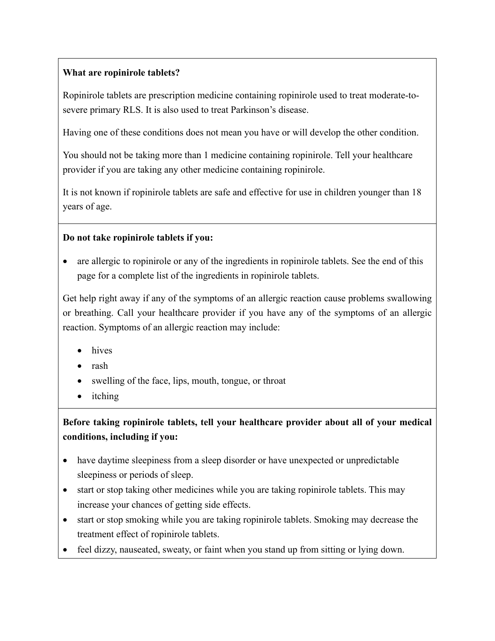# **What are ropinirole tablets?**

Ropinirole tablets are prescription medicine containing ropinirole used to treat moderate-tosevere primary RLS. It is also used to treat Parkinson's disease.

Having one of these conditions does not mean you have or will develop the other condition.

You should not be taking more than 1 medicine containing ropinirole. Tell your healthcare provider if you are taking any other medicine containing ropinirole.

It is not known if ropinirole tablets are safe and effective for use in children younger than 18 years of age.

# **Do not take ropinirole tablets if you:**

• are allergic to ropinirole or any of the ingredients in ropinirole tablets. See the end of this page for a complete list of the ingredients in ropinirole tablets.

Get help right away if any of the symptoms of an allergic reaction cause problems swallowing or breathing. Call your healthcare provider if you have any of the symptoms of an allergic reaction. Symptoms of an allergic reaction may include:

- hives
- rash
- swelling of the face, lips, mouth, tongue, or throat
- itching

# **Before taking ropinirole tablets, tell your healthcare provider about all of your medical conditions, including if you:**

- have daytime sleepiness from a sleep disorder or have unexpected or unpredictable sleepiness or periods of sleep.
- start or stop taking other medicines while you are taking ropinirole tablets. This may increase your chances of getting side effects.
- start or stop smoking while you are taking ropinirole tablets. Smoking may decrease the treatment effect of ropinirole tablets.
- feel dizzy, nauseated, sweaty, or faint when you stand up from sitting or lying down.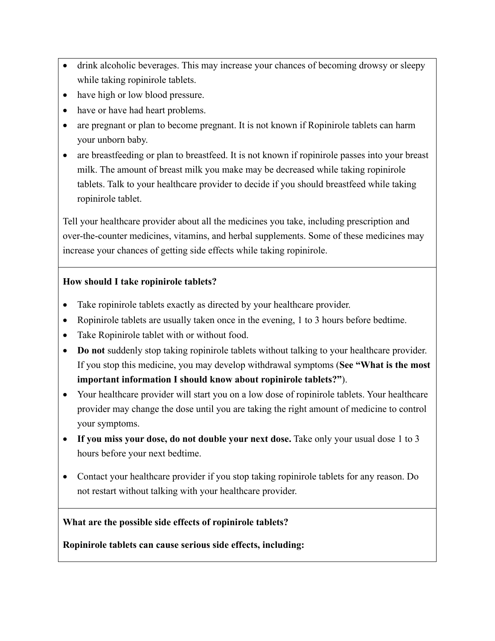- drink alcoholic beverages. This may increase your chances of becoming drowsy or sleepy while taking ropinirole tablets.
- have high or low blood pressure.
- have or have had heart problems.
- are pregnant or plan to become pregnant. It is not known if Ropinirole tablets can harm your unborn baby.
- are breastfeeding or plan to breastfeed. It is not known if ropinirole passes into your breast milk. The amount of breast milk you make may be decreased while taking ropinirole tablets. Talk to your healthcare provider to decide if you should breastfeed while taking ropinirole tablet.

Tell your healthcare provider about all the medicines you take, including prescription and over-the-counter medicines, vitamins, and herbal supplements. Some of these medicines may increase your chances of getting side effects while taking ropinirole.

### **How should I take ropinirole tablets?**

- Take ropinirole tablets exactly as directed by your healthcare provider.
- Ropinirole tablets are usually taken once in the evening, 1 to 3 hours before bedtime.
- Take Ropinirole tablet with or without food.
- **Do not** suddenly stop taking ropinirole tablets without talking to your healthcare provider. If you stop this medicine, you may develop withdrawal symptoms (**See "What is the most important information I should know about ropinirole tablets?"**).
- Your healthcare provider will start you on a low dose of ropinirole tablets. Your healthcare provider may change the dose until you are taking the right amount of medicine to control your symptoms.
- **If you miss your dose, do not double your next dose.** Take only your usual dose 1 to 3 hours before your next bedtime.
- Contact your healthcare provider if you stop taking ropinirole tablets for any reason. Do not restart without talking with your healthcare provider.

### **What are the possible side effects of ropinirole tablets?**

**Ropinirole tablets can cause serious side effects, including:**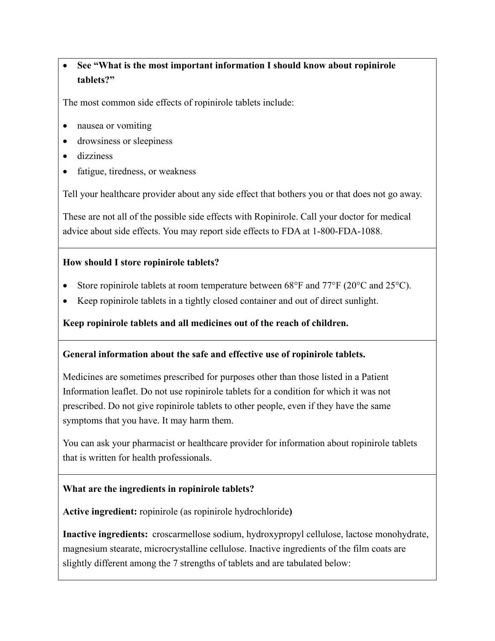# • **See "What is the most important information I should know about ropinirole tablets?"**

The most common side effects of ropinirole tablets include:

- nausea or vomiting
- drowsiness or sleepiness
- dizziness
- fatigue, tiredness, or weakness

Tell your healthcare provider about any side effect that bothers you or that does not go away.

These are not all of the possible side effects with Ropinirole. Call your doctor for medical advice about side effects. You may report side effects to FDA at 1-800-FDA-1088.

#### **How should I store ropinirole tablets?**

- Store ropinirole tablets at room temperature between 68°F and 77°F (20°C and 25°C).
- Keep ropinirole tablets in a tightly closed container and out of direct sunlight.

#### **Keep ropinirole tablets and all medicines out of the reach of children.**

#### **General information about the safe and effective use of ropinirole tablets.**

Medicines are sometimes prescribed for purposes other than those listed in a Patient Information leaflet. Do not use ropinirole tablets for a condition for which it was not prescribed. Do not give ropinirole tablets to other people, even if they have the same symptoms that you have. It may harm them.

You can ask your pharmacist or healthcare provider for information about ropinirole tablets that is written for health professionals.

#### **What are the ingredients in ropinirole tablets?**

**Active ingredient:** ropinirole (as ropinirole hydrochloride**)** 

**Inactive ingredients:** croscarmellose sodium, hydroxypropyl cellulose, lactose monohydrate, magnesium stearate, microcrystalline cellulose. Inactive ingredients of the film coats are slightly different among the 7 strengths of tablets and are tabulated below: